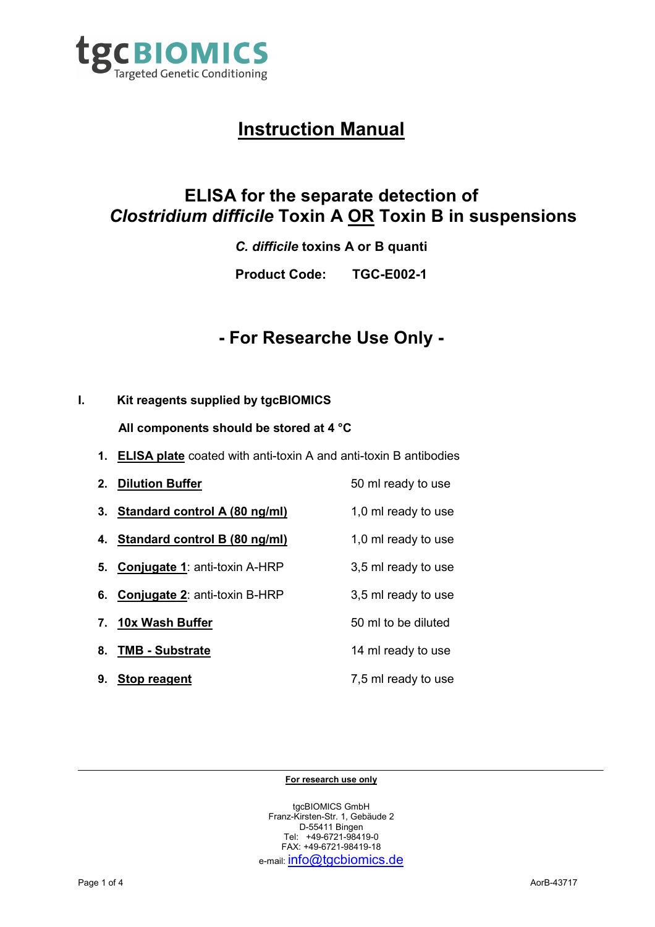

# **Instruction Manual**

# **ELISA for the separate detection of**  *Clostridium difficile* **Toxin A OR Toxin B in suspensions**

*C. difficile* **toxins A or B quanti**

**Product Code: TGC-E002-1**

# **- For Researche Use Only -**

# **I. Kit reagents supplied by tgcBIOMICS**

**All components should be stored at 4 °C** 

- **1. ELISA plate** coated with anti-toxin A and anti-toxin B antibodies
- **2. Dilution Buffer** 50 ml ready to use **3. Standard control A (80 ng/ml)** 1,0 ml ready to use **4. Standard control B (80 ng/ml)** 1,0 ml ready to use **5. Conjugate 1**: anti-toxin A-HRP 3,5 ml ready to use **6. Conjugate 2**: anti-toxin B-HRP 3,5 ml ready to use **7. 10x Wash Buffer** 50 ml to be diluted **8. TMB - Substrate** 14 ml ready to use **9. Stop reagent** 7,5 ml ready to use

#### **For research use only**

tgcBIOMICS GmbH Franz-Kirsten-Str. 1, Gebäude 2 D-55411 Bingen Tel: +49-6721-98419-0 FAX: +49-6721-98419-18 e-mail: info@tgcbiomics.de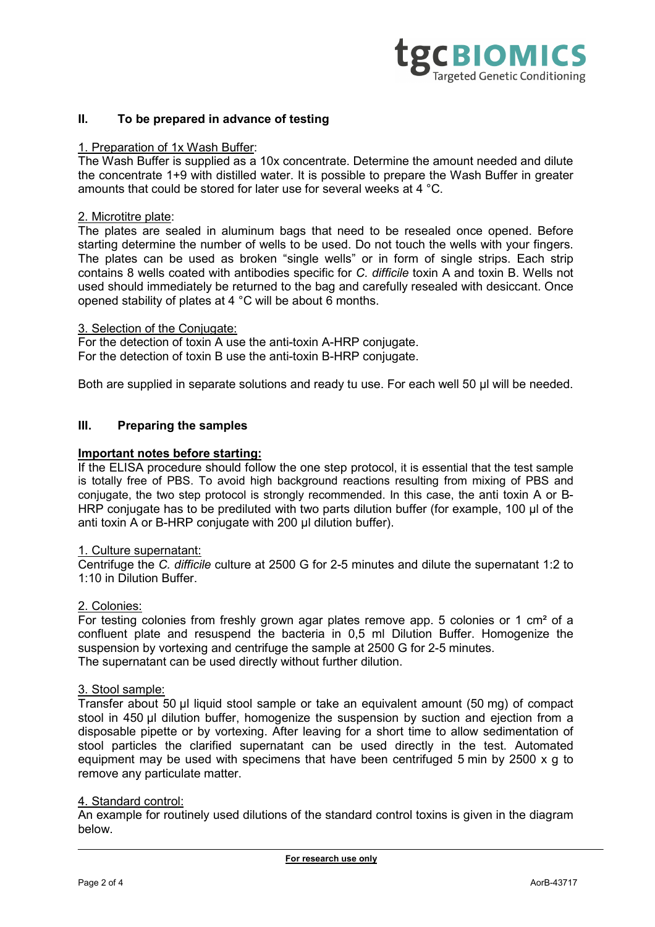

## **II. To be prepared in advance of testing**

#### 1. Preparation of 1x Wash Buffer:

The Wash Buffer is supplied as a 10x concentrate. Determine the amount needed and dilute the concentrate 1+9 with distilled water. It is possible to prepare the Wash Buffer in greater amounts that could be stored for later use for several weeks at 4 °C.

# 2. Microtitre plate:

The plates are sealed in aluminum bags that need to be resealed once opened. Before starting determine the number of wells to be used. Do not touch the wells with your fingers. The plates can be used as broken "single wells" or in form of single strips. Each strip contains 8 wells coated with antibodies specific for *C. difficile* toxin A and toxin B. Wells not used should immediately be returned to the bag and carefully resealed with desiccant. Once opened stability of plates at 4 °C will be about 6 months.

#### 3. Selection of the Conjugate:

For the detection of toxin A use the anti-toxin A-HRP conjugate. For the detection of toxin B use the anti-toxin B-HRP conjugate.

Both are supplied in separate solutions and ready tu use. For each well 50 ul will be needed.

### **III. Preparing the samples**

#### **Important notes before starting:**

If the ELISA procedure should follow the one step protocol, it is essential that the test sample is totally free of PBS. To avoid high background reactions resulting from mixing of PBS and conjugate, the two step protocol is strongly recommended. In this case, the anti toxin A or B-HRP conjugate has to be prediluted with two parts dilution buffer (for example, 100 µl of the anti toxin A or B-HRP conjugate with 200 ul dilution buffer).

#### 1. Culture supernatant:

Centrifuge the *C. difficile* culture at 2500 G for 2-5 minutes and dilute the supernatant 1:2 to 1:10 in Dilution Buffer.

#### 2. Colonies:

For testing colonies from freshly grown agar plates remove app. 5 colonies or 1 cm² of a confluent plate and resuspend the bacteria in 0,5 ml Dilution Buffer. Homogenize the suspension by vortexing and centrifuge the sample at 2500 G for 2-5 minutes. The supernatant can be used directly without further dilution.

#### 3. Stool sample:

Transfer about 50 µl liquid stool sample or take an equivalent amount (50 mg) of compact stool in 450 ul dilution buffer, homogenize the suspension by suction and ejection from a disposable pipette or by vortexing. After leaving for a short time to allow sedimentation of stool particles the clarified supernatant can be used directly in the test. Automated equipment may be used with specimens that have been centrifuged 5 min by 2500 x g to remove any particulate matter.

#### 4. Standard control:

An example for routinely used dilutions of the standard control toxins is given in the diagram below.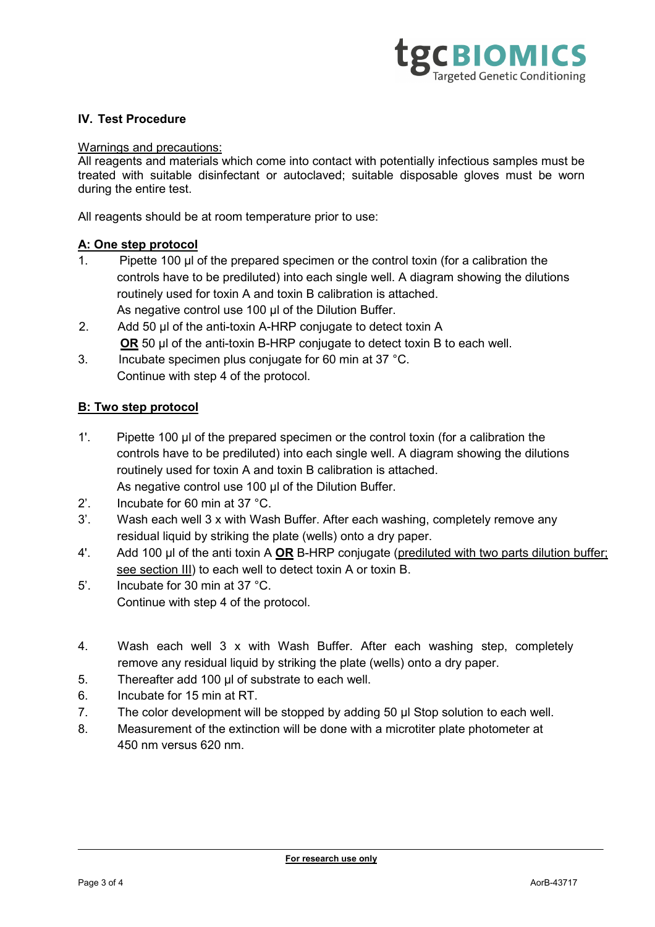

# **IV. Test Procedure**

## Warnings and precautions:

All reagents and materials which come into contact with potentially infectious samples must be treated with suitable disinfectant or autoclaved; suitable disposable gloves must be worn during the entire test.

All reagents should be at room temperature prior to use:

## **A: One step protocol**

- 1. Pipette 100 µl of the prepared specimen or the control toxin (for a calibration the controls have to be prediluted) into each single well. A diagram showing the dilutions routinely used for toxin A and toxin B calibration is attached. As negative control use 100 µl of the Dilution Buffer.
- 2. Add 50 µl of the anti-toxin A-HRP conjugate to detect toxin A **OR** 50 µl of the anti-toxin B-HRP conjugate to detect toxin B to each well.
- 3. Incubate specimen plus conjugate for 60 min at 37 °C. Continue with step 4 of the protocol.

## **B: Two step protocol**

- 1'. Pipette 100 µl of the prepared specimen or the control toxin (for a calibration the controls have to be prediluted) into each single well. A diagram showing the dilutions routinely used for toxin A and toxin B calibration is attached. As negative control use 100 µl of the Dilution Buffer.
- 2'. Incubate for 60 min at 37 °C.
- 3'. Wash each well 3 x with Wash Buffer. After each washing, completely remove any residual liquid by striking the plate (wells) onto a dry paper.
- 4'. Add 100 µl of the anti toxin A **OR** B-HRP conjugate (prediluted with two parts dilution buffer; see section III) to each well to detect toxin A or toxin B.
- 5'. Incubate for 30 min at 37 °C. Continue with step 4 of the protocol.
- 4. Wash each well 3 x with Wash Buffer. After each washing step, completely remove any residual liquid by striking the plate (wells) onto a dry paper.
- 5. Thereafter add 100 µl of substrate to each well.
- 6. Incubate for 15 min at RT.
- 7. The color development will be stopped by adding 50 µl Stop solution to each well.
- 8. Measurement of the extinction will be done with a microtiter plate photometer at 450 nm versus 620 nm.